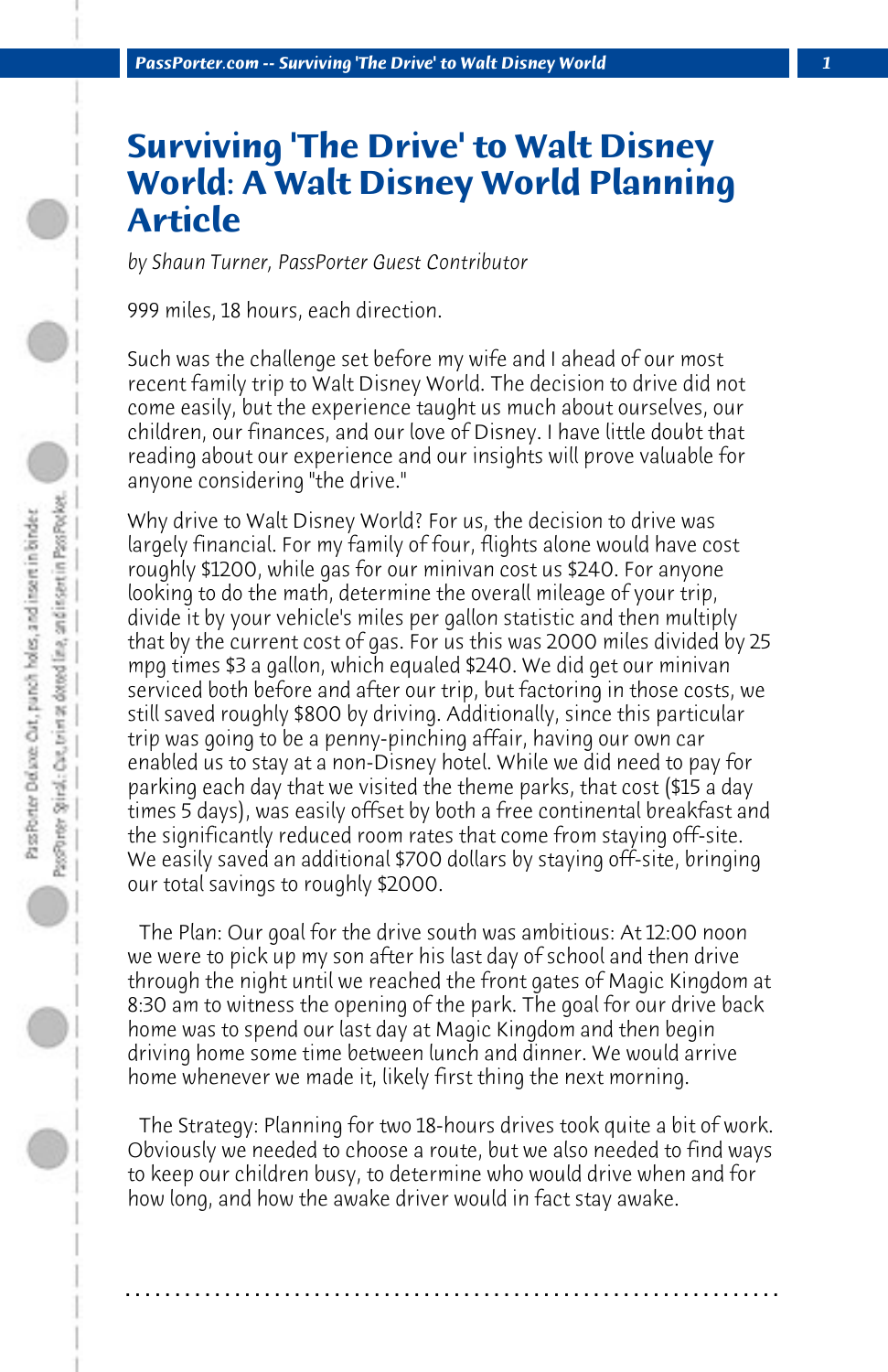## **Surviving 'The Drive' to Walt Disney World: A Walt Disney World Planning Article**

*by Shaun Turner, PassPorter Guest Contributor*

999 miles, 18 hours, each direction.

Such was the challenge set before my wife and I ahead of our most recent family trip to Walt Disney World. The decision to drive did not come easily, but the experience taught us much about ourselves, our children, our finances, and our love of Disney. I have little doubt that reading about our experience and our insights will prove valuable for anyone considering "the drive."

Why drive to Walt Disney World? For us, the decision to drive was largely financial. For my family of four, flights alone would have cost roughly \$1200, while gas for our minivan cost us \$240. For anyone looking to do the math, determine the overall mileage of your trip, divide it by your vehicle's miles per gallon statistic and then multiply that by the current cost of gas. For us this was 2000 miles divided by 25 mpg times \$3 a gallon, which equaled \$240. We did get our minivan serviced both before and after our trip, but factoring in those costs, we still saved roughly \$800 by driving. Additionally, since this particular trip was going to be a penny-pinching affair, having our own car enabled us to stay at a non-Disney hotel. While we did need to pay for parking each day that we visited the theme parks, that cost (\$15 a day times 5 days), was easily offset by both a free continental breakfast and the significantly reduced room rates that come from staying off-site. We easily saved an additional \$700 dollars by staying off-site, bringing our total savings to roughly \$2000.

 The Plan: Our goal for the drive south was ambitious: At 12:00 noon we were to pick up my son after his last day of school and then drive through the night until we reached the front gates of Magic Kingdom at 8:30 am to witness the opening of the park. The goal for our drive back home was to spend our last day at Magic Kingdom and then begin driving home some time between lunch and dinner. We would arrive home whenever we made it, likely first thing the next morning.

 The Strategy: Planning for two 18-hours drives took quite a bit of work. Obviously we needed to choose a route, but we also needed to find ways to keep our children busy, to determine who would drive when and for how long, and how the awake driver would in fact stay awake.

**. . . . . . . . . . . . . . . . . . . . . . . . . . . . . . . . . . . . . . . . . . . . . . . . . . . . . . . . . . . . . . . . . .**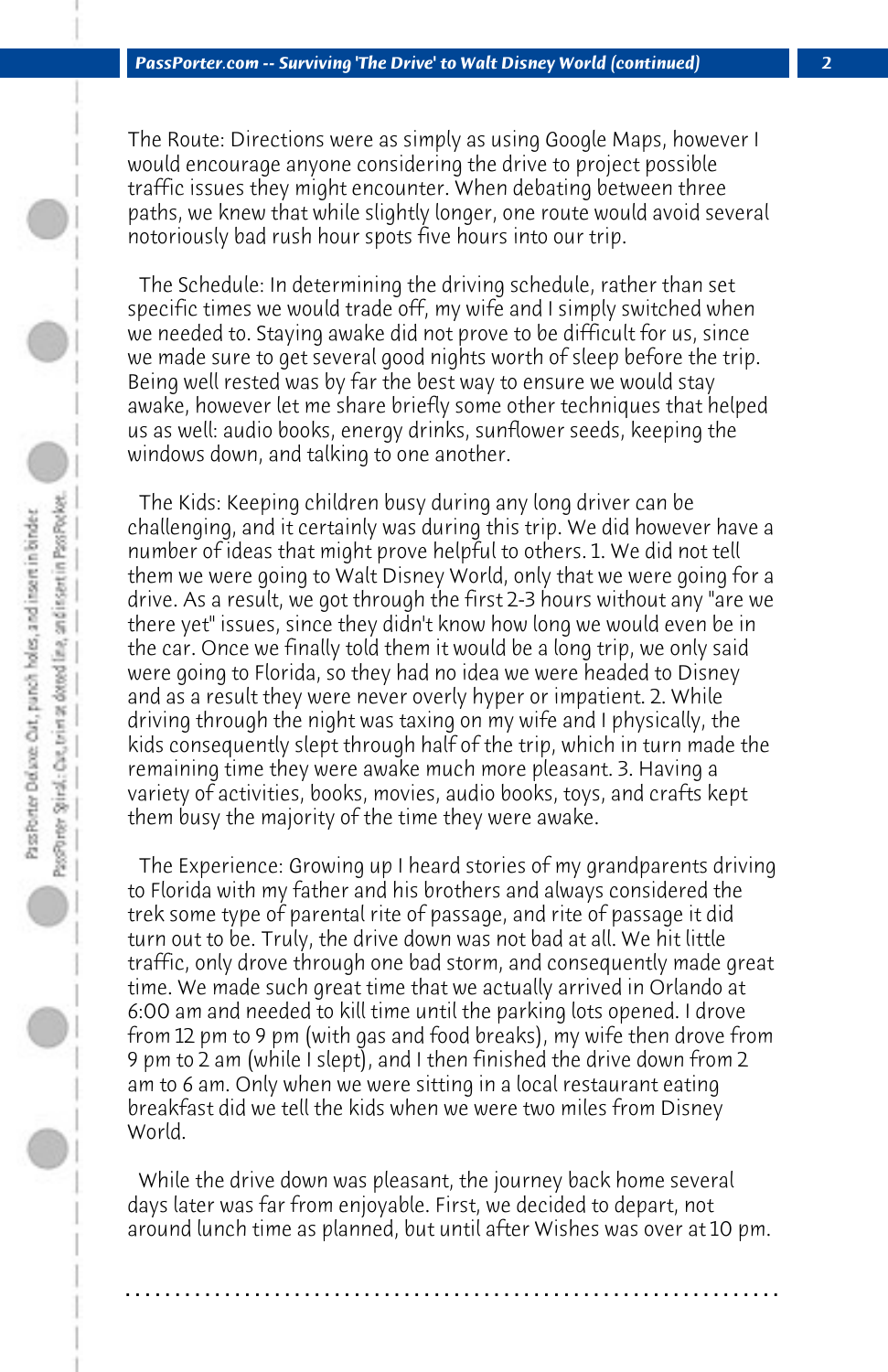The Route: Directions were as simply as using Google Maps, however I would encourage anyone considering the drive to project possible traffic issues they might encounter. When debating between three paths, we knew that while slightly longer, one route would avoid several notoriously bad rush hour spots five hours into our trip.

 The Schedule: In determining the driving schedule, rather than set specific times we would trade off, my wife and I simply switched when we needed to. Staying awake did not prove to be difficult for us, since we made sure to get several good nights worth of sleep before the trip. Being well rested was by far the best way to ensure we would stay awake, however let me share briefly some other techniques that helped us as well: audio books, energy drinks, sunflower seeds, keeping the windows down, and talking to one another.

 The Kids: Keeping children busy during any long driver can be challenging, and it certainly was during this trip. We did however have a number of ideas that might prove helpful to others. 1. We did not tell them we were going to Walt Disney World, only that we were going for a drive. As a result, we got through the first 2-3 hours without any "are we there yet" issues, since they didn't know how long we would even be in the car. Once we finally told them it would be a long trip, we only said were going to Florida, so they had no idea we were headed to Disney and as a result they were never overly hyper or impatient. 2. While driving through the night was taxing on my wife and I physically, the kids consequently slept through half of the trip, which in turn made the remaining time they were awake much more pleasant. 3. Having a variety of activities, books, movies, audio books, toys, and crafts kept them busy the majority of the time they were awake.

 The Experience: Growing up I heard stories of my grandparents driving to Florida with my father and his brothers and always considered the trek some type of parental rite of passage, and rite of passage it did turn out to be. Truly, the drive down was not bad at all. We hit little traffic, only drove through one bad storm, and consequently made great time. We made such great time that we actually arrived in Orlando at 6:00 am and needed to kill time until the parking lots opened. I drove from 12 pm to 9 pm (with gas and food breaks), my wife then drove from 9 pm to 2 am (while I slept), and I then finished the drive down from 2 am to 6 am. Only when we were sitting in a local restaurant eating breakfast did we tell the kids when we were two miles from Disney World.

 While the drive down was pleasant, the journey back home several days later was far from enjoyable. First, we decided to depart, not around lunch time as planned, but until after Wishes was over at 10 pm.

**. . . . . . . . . . . . . . . . . . . . . . . . . . . . . . . . . . . . . . . . . . . . . . . . . . . . . . . . . . . . . . . . . .**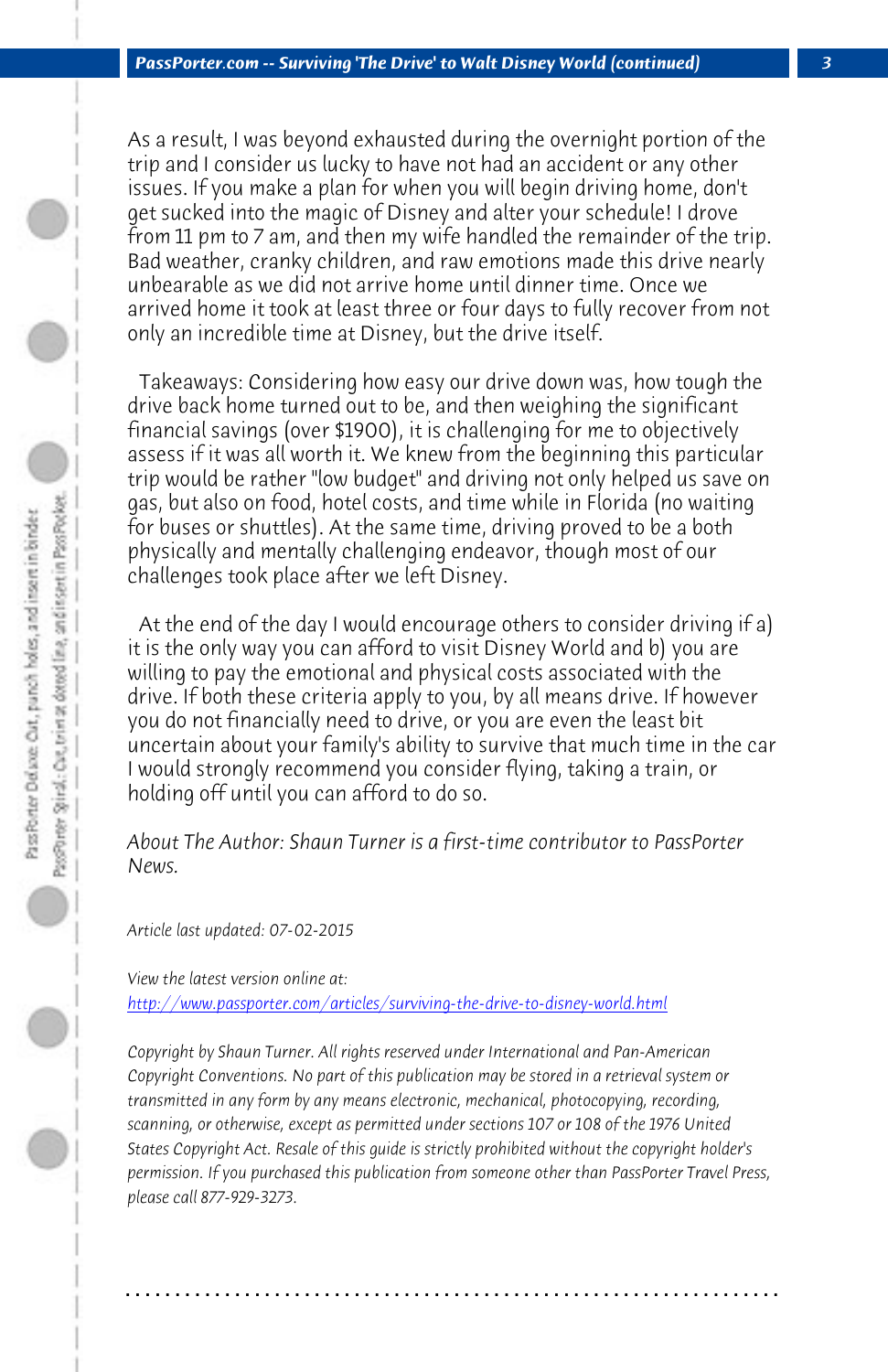*PassPorter.com -- Surviving 'The Drive' to Walt Disney World (continued) 3*

As a result, I was beyond exhausted during the overnight portion of the trip and I consider us lucky to have not had an accident or any other issues. If you make a plan for when you will begin driving home, don't get sucked into the magic of Disney and alter your schedule! I drove from 11 pm to 7 am, and then my wife handled the remainder of the trip. Bad weather, cranky children, and raw emotions made this drive nearly unbearable as we did not arrive home until dinner time. Once we arrived home it took at least three or four days to fully recover from not only an incredible time at Disney, but the drive itself.

 Takeaways: Considering how easy our drive down was, how tough the drive back home turned out to be, and then weighing the significant financial savings (over \$1900), it is challenging for me to objectively assess if it was all worth it. We knew from the beginning this particular trip would be rather "low budget" and driving not only helped us save on gas, but also on food, hotel costs, and time while in Florida (no waiting for buses or shuttles). At the same time, driving proved to be a both physically and mentally challenging endeavor, though most of our challenges took place after we left Disney.

 At the end of the day I would encourage others to consider driving if a) it is the only way you can afford to visit Disney World and b) you are willing to pay the emotional and physical costs associated with the drive. If both these criteria apply to you, by all means drive. If however you do not financially need to drive, or you are even the least bit uncertain about your family's ability to survive that much time in the car I would strongly recommend you consider flying, taking a train, or holding off until you can afford to do so.

*About The Author: Shaun Turner is a first-time contributor to PassPorter News.*

*Article last updated: 07-02-2015*

*View the latest version online at: http://www.passporter.com/articles/surviving-the-drive-to-disney-world.html*

*Copyright by Shaun Turner. All rights reserved under International and Pan-American Copyright Conventions. No part of this publication may be stored in a retrieval system or transmitted in any form by any means electronic, mechanical, photocopying, recording, scanning, or otherwise, except as permitted under sections 107 or 108 of the 1976 United States Copyright Act. Resale of this guide is strictly prohibited without the copyright holder's permission. If you purchased this publication from someone other than PassPorter Travel Press, please call 877-929-3273.*

**. . . . . . . . . . . . . . . . . . . . . . . . . . . . . . . . . . . . . . . . . . . . . . . . . . . . . . . . . . . . . . . . . .**